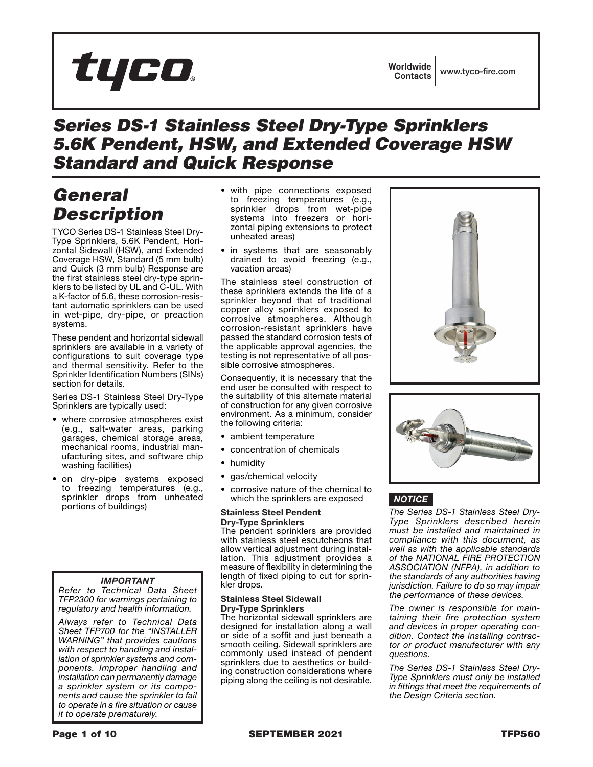# tyco

### *Series DS-1 Stainless Steel Dry-Type Sprinklers 5.6K Pendent, HSW, and Extended Coverage HSW Standard and Quick Response*

# *General Description*

TYCO Series DS-1 Stainless Steel Dry-Type Sprinklers, 5.6K Pendent, Horizontal Sidewall (HSW), and Extended Coverage HSW, Standard (5 mm bulb) and Quick (3 mm bulb) Response are the first stainless steel dry-type sprinklers to be listed by UL and C-UL. With a K-factor of 5.6, these corrosion-resistant automatic sprinklers can be used in wet-pipe, dry-pipe, or preaction systems.

These pendent and horizontal sidewall sprinklers are available in a variety of configurations to suit coverage type and thermal sensitivity. Refer to the Sprinkler Identification Numbers (SINs) section for details.

Series DS-1 Stainless Steel Dry-Type Sprinklers are typically used:

- where corrosive atmospheres exist (e.g., salt-water areas, parking garages, chemical storage areas, mechanical rooms, industrial manufacturing sites, and software chip washing facilities)
- on dry-pipe systems exposed to freezing temperatures (e.g., sprinkler drops from unheated portions of buildings)

### *IMPORTANT*

*Refer to Technical Data Sheet TFP2300 for warnings pertaining to regulatory and health information.*

*Always refer to Technical Data Sheet TFP700 for the "INSTALLER WARNING" that provides cautions with respect to handling and installation of sprinkler systems and components. Improper handling and installation can permanently damage a sprinkler system or its components and cause the sprinkler to fail to operate in a fire situation or cause it to operate prematurely.*

- with pipe connections exposed to freezing temperatures (e.g., sprinkler drops from wet-pipe systems into freezers or horizontal piping extensions to protect unheated areas)
- in systems that are seasonably drained to avoid freezing (e.g., vacation areas)

The stainless steel construction of these sprinklers extends the life of a sprinkler beyond that of traditional copper alloy sprinklers exposed to corrosive atmospheres. Although corrosion-resistant sprinklers have passed the standard corrosion tests of the applicable approval agencies, the testing is not representative of all possible corrosive atmospheres.

Consequently, it is necessary that the end user be consulted with respect to the suitability of this alternate material of construction for any given corrosive environment. As a minimum, consider the following criteria:

- ambient temperature
- concentration of chemicals
- humidity
- gas/chemical velocity
- corrosive nature of the chemical to which the sprinklers are exposed

### Stainless Steel Pendent Dry-Type Sprinklers

The pendent sprinklers are provided with stainless steel escutcheons that allow vertical adjustment during installation. This adjustment provides a measure of flexibility in determining the length of fixed piping to cut for sprinkler drops.

### Stainless Steel Sidewall Dry-Type Sprinklers

The horizontal sidewall sprinklers are designed for installation along a wall or side of a soffit and just beneath a smooth ceiling. Sidewall sprinklers are commonly used instead of pendent sprinklers due to aesthetics or building construction considerations where piping along the ceiling is not desirable.





### *NOTICE*

*The Series DS-1 Stainless Steel Dry-Type Sprinklers described herein must be installed and maintained in compliance with this document, as well as with the applicable standards of the NATIONAL FIRE PROTECTION ASSOCIATION (NFPA), in addition to the standards of any authorities having jurisdiction. Failure to do so may impair the performance of these devices.*

*The owner is responsible for maintaining their fire protection system and devices in proper operating condition. Contact the installing contractor or product manufacturer with any questions.*

*The Series DS-1 Stainless Steel Dry-Type Sprinklers must only be installed in fittings that meet the requirements of the Design Criteria section.*

Page 1 of 10 **SEPTEMBER 2021** SEPTEMBER 2021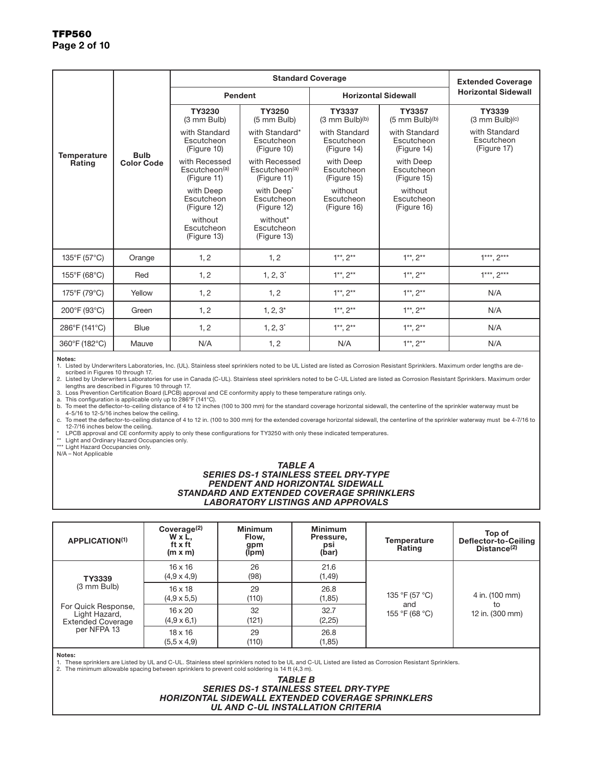|                                     |                                  |                                                           | <b>Extended Coverage</b>                                                         |                                              |                                              |                                                |
|-------------------------------------|----------------------------------|-----------------------------------------------------------|----------------------------------------------------------------------------------|----------------------------------------------|----------------------------------------------|------------------------------------------------|
|                                     | <b>Bulb</b><br><b>Color Code</b> | Pendent                                                   |                                                                                  | <b>Horizontal Sidewall</b>                   | <b>Horizontal Sidewall</b>                   |                                                |
|                                     |                                  | TY3230<br>TY3250<br>(3 mm Bulb)<br>(5 mm Bulb)            |                                                                                  | <b>TY3337</b><br>$(3 \text{ mm Bulb})^{(b)}$ | <b>TY3357</b><br>$(5 \text{ mm Bulb})^{(b)}$ | TY3339<br>$(3 \text{ mm Bulb})$ <sup>(c)</sup> |
| <b>Temperature</b><br><b>Rating</b> |                                  | with Standard<br>Escutcheon<br>(Figure 10)                | with Standard*<br>Escutcheon<br>(Figure 10)                                      | with Standard<br>Escutcheon<br>(Figure 14)   | with Standard<br>Escutcheon<br>(Figure 14)   | with Standard<br>Escutcheon<br>(Figure 17)     |
|                                     |                                  | with Recessed<br>Escutcheon <sup>(a)</sup><br>(Figure 11) | with Recessed<br>Escutcheon <sup>(a)</sup><br>(Figure 11)                        | with Deep<br>Escutcheon<br>(Figure 15)       | with Deep<br>Escutcheon<br>(Figure 15)       |                                                |
|                                     |                                  | with Deep<br>Escutcheon<br>(Figure 12)                    | with Deep <sup>*</sup><br>Escutcheon<br>Escutcheon<br>(Figure 12)<br>(Figure 16) |                                              | without<br>Escutcheon<br>(Figure 16)         |                                                |
|                                     |                                  | without<br>Escutcheon<br>(Figure 13)                      | without*<br>Escutcheon<br>(Figure 13)                                            |                                              |                                              |                                                |
| 135°F (57°C)                        | Orange                           | 1, 2                                                      | 1, 2                                                                             | $1**$ , $2**$                                | $1**$ , $2**$                                | $1***$ , $2***$                                |
| 155°F (68°C)                        | Red                              | 1, 2                                                      | $1, 2, 3^*$                                                                      | $1**$ , $2**$                                | $1**$ , $2**$                                | $1***$ , $2***$                                |
| 175°F (79°C)                        | Yellow                           | 1, 2                                                      | 1, 2                                                                             | $1**$ , $2**$                                | $1**$ , $2**$                                | N/A                                            |
| 200°F (93°C)                        | Green                            | 1, 2                                                      | $1, 2, 3^*$                                                                      | $1^{**}$ , $2^{**}$                          | $1^{**}$ , $2^{**}$                          | N/A                                            |
| 286°F (141°C)                       | <b>Blue</b>                      | 1, 2                                                      | $1, 2, 3^*$                                                                      | $1**$ , $2**$                                | $1**$ , $2**$                                | N/A                                            |
| 360°F (182°C)                       | Mauve                            | N/A                                                       | 1, 2                                                                             | N/A                                          | $1**$ , $2**$                                | N/A                                            |

#### Notes:

1. Listed by Underwriters Laboratories, Inc. (UL). Stainless steel sprinklers noted to be UL Listed are listed as Corrosion Resistant Sprinklers. Maximum order lengths are described in Figures 10 through 17.

2. Listed by Underwriters Laboratories for use in Canada (C-UL). Stainless steel sprinklers noted to be C-UL Listed are listed as Corrosion Resistant Sprinklers. Maximum order lengths are described in Figures 10 through 17.

3. Loss Prevention Certification Board (LPCB) approval and CE conformity apply to these temperature ratings only.

a. This configuration is applicable only up to 286°F (141°C).<br>b. To meet the deflector-to-ceiling distance of 4 to 12 inches (100 to 300 mm) for the standard coverage horizontal sidewall, the centerline of the sprinkler wa 4-5/16 to 12-5/16 inches below the ceiling.<br>c. To meet the deflector-to-ceiling distance of 4 to 12 in. (100 to 300 mm) for the extended coverage horizontal sidewall, the centerline of the sprinkler waterway must be 4-7/16

12-7/16 inches below the ceiling.

\* LPCB approval and CE conformity apply to only these configurations for TY3250 with only these indicated temperatures. \*\* Light and Ordinary Hazard Occupancies only.

\*\*\* Light Hazard Occupancies only.

N/A – Not Applicable

#### *TABLE A SERIES DS-1 STAINLESS STEEL DRY-TYPE PENDENT AND HORIZONTAL SIDEWALL STANDARD AND EXTENDED COVERAGE SPRINKLERS LABORATORY LISTINGS AND APPROVALS*

| <b>APPLICATION(1)</b>                                            | Coverage <sup>(2)</sup><br>W x L,<br>ft x ft<br>$(m \times m)$ | <b>Minimum</b><br>Flow,<br>gpm<br>(Ipm) | <b>Minimum</b><br>Pressure,<br>psi<br>(bar) | <b>Temperature</b><br>Rating | Top of<br>Deflector-to-Ceiling<br>Distance <sup>(2)</sup> |  |
|------------------------------------------------------------------|----------------------------------------------------------------|-----------------------------------------|---------------------------------------------|------------------------------|-----------------------------------------------------------|--|
| TY3339                                                           | $16 \times 16$<br>$(4.9 \times 4.9)$                           | 26<br>(98)                              | 21.6<br>(1, 49)                             |                              | 4 in. (100 mm)                                            |  |
| (3 mm Bulb)                                                      | $16 \times 18$<br>$(4.9 \times 5.5)$                           | 29<br>(110)                             | 26.8<br>(1, 85)                             | 135 °F (57 °C)               |                                                           |  |
| For Quick Response,<br>Light Hazard,<br><b>Extended Coverage</b> | $16 \times 20$<br>$(4.9 \times 6.1)$                           | 32<br>(121)                             | 32.7<br>(2, 25)                             | and<br>155 °F (68 °C)        | to<br>12 in. (300 mm)                                     |  |
| per NFPA 13                                                      | $18 \times 16$<br>$(5.5 \times 4.9)$                           | 29<br>(110)                             | 26.8<br>(1, 85)                             |                              |                                                           |  |

#### Notes:

1. These sprinklers are Listed by UL and C-UL. Stainless steel sprinklers noted to be UL and C-UL Listed are listed as Corrosion Resistant Sprinklers. 2. The minimum allowable spacing between sprinklers to prevent cold soldering is 14 ft (4,3 m).

#### *TABLE B SERIES DS-1 STAINLESS STEEL DRY-TYPE HORIZONTAL SIDEWALL EXTENDED COVERAGE SPRINKLERS UL AND C-UL INSTALLATION CRITERIA*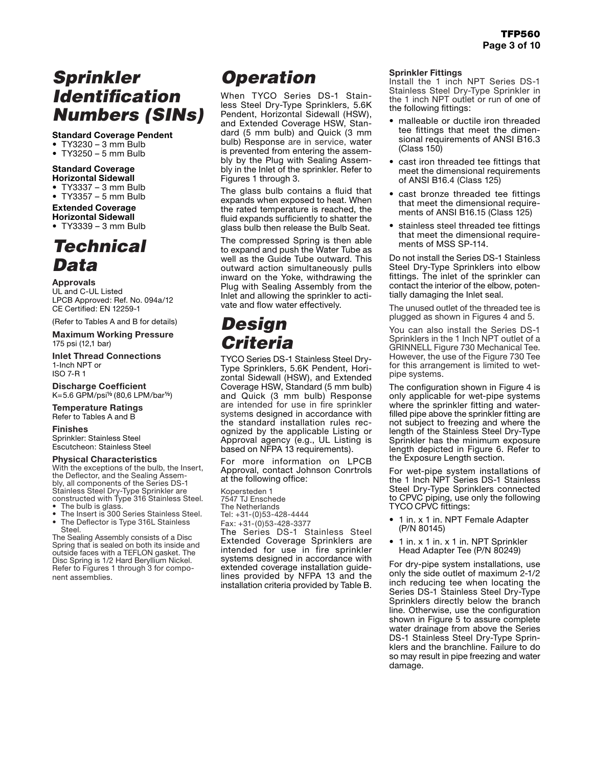# *Sprinkler Identification Numbers (SINs)*

### Standard Coverage Pendent

- TY3230 3 mm Bulb
- TY3250 5 mm Bulb

#### Standard Coverage Horizontal Sidewall

- TY3337 3 mm Bulb
- TY3357 5 mm Bulb

### Extended Coverage Horizontal Sidewall

• TY3339 – 3 mm Bulb

### *Technical Data*

**Approvals** UL and C-UL Listed LPCB Approved: Ref. No. 094a/12 CE Certified: EN 12259-1

(Refer to Tables A and B for details)

#### **Maximum Working Pressure** 175 psi (12,1 bar)

**Inlet Thread Connections** 1-Inch NPT or ISO 7-R 1

**Discharge Coefficient** K=5.6 GPM/psi½ (80,6 LPM/bar½)

**Temperature Ratings** Refer to Tables A and B

#### **Finishes**

Sprinkler: Stainless Steel Escutcheon: Stainless Steel

### **Physical Characteristics**

With the exceptions of the bulb, the Insert, the Deflector, and the Sealing Assembly, all components of the Series DS-1 Stainless Steel Dry-Type Sprinkler are constructed with Type 316 Stainless Steel.

- The bulb is glass.
- The Insert is 300 Series Stainless Steel. The Deflector is Type 316L Stainless Steel.

The Sealing Assembly consists of a Disc Spring that is sealed on both its inside and outside faces with a TEFLON gasket. The Disc Spring is 1/2 Hard Beryllium Nickel. Refer to Figures 1 through 3 for component assemblies.

# *Operation*

When TYCO Series DS-1 Stainless Steel Dry-Type Sprinklers, 5.6K Pendent, Horizontal Sidewall (HSW), and Extended Coverage HSW, Standard (5 mm bulb) and Quick (3 mm bulb) Response are in service, water is prevented from entering the assembly by the Plug with Sealing Assembly in the Inlet of the sprinkler. Refer to Figures 1 through 3.

The glass bulb contains a fluid that expands when exposed to heat. When the rated temperature is reached, the fluid expands sufficiently to shatter the glass bulb then release the Bulb Seat.

The compressed Spring is then able to expand and push the Water Tube as well as the Guide Tube outward. This outward action simultaneously pulls inward on the Yoke, withdrawing the Plug with Sealing Assembly from the Inlet and allowing the sprinkler to activate and flow water effectively.

### *Design Criteria*

TYCO Series DS-1 Stainless Steel Dry-Type Sprinklers, 5.6K Pendent, Horizontal Sidewall (HSW), and Extended Coverage HSW, Standard (5 mm bulb) and Quick (3 mm bulb) Response are intended for use in fire sprinkler systems designed in accordance with the standard installation rules recognized by the applicable Listing or Approval agency (e.g., UL Listing is based on NFPA 13 requirements).

For more information on LPCB Approval, contact Johnson Conrtrols at the following office:

Kopersteden 1 7547 TJ Enschede The Netherlands Tel: +31-(0)53-428-4444 Fax: +31-(0)53-428-3377 The Series DS-1 Stainless Steel Extended Coverage Sprinklers are intended for use in fire sprinkler systems designed in accordance with extended coverage installation guidelines provided by NFPA 13 and the installation criteria provided by Table B.

#### Sprinkler Fittings

Install the 1 inch NPT Series DS-1 Stainless Steel Dry-Type Sprinkler in the 1 inch NPT outlet or run of one of the following fittings:

- malleable or ductile iron threaded tee fittings that meet the dimensional requirements of ANSI B16.3 (Class 150)
- cast iron threaded tee fittings that meet the dimensional requirements of ANSI B16.4 (Class 125)
- cast bronze threaded tee fittings that meet the dimensional requirements of ANSI B16.15 (Class 125)
- stainless steel threaded tee fittings that meet the dimensional requirements of MSS SP-114.

Do not install the Series DS-1 Stainless Steel Dry-Type Sprinklers into elbow fittings. The inlet of the sprinkler can contact the interior of the elbow, potentially damaging the Inlet seal.

The unused outlet of the threaded tee is plugged as shown in Figures 4 and 5.

You can also install the Series DS-1 Sprinklers in the 1 Inch NPT outlet of a GRINNELL Figure 730 Mechanical Tee. However, the use of the Figure 730 Tee for this arrangement is limited to wetpipe systems.

The configuration shown in Figure 4 is only applicable for wet-pipe systems where the sprinkler fitting and waterfilled pipe above the sprinkler fitting are not subject to freezing and where the length of the Stainless Steel Dry-Type Sprinkler has the minimum exposure length depicted in Figure 6. Refer to the Exposure Length section.

For wet-pipe system installations of the 1 Inch NPT Series DS-1 Stainless Steel Dry-Type Sprinklers connected to CPVC piping, use only the following TYCO CPVC fittings:

- 1 in. x 1 in. NPT Female Adapter (P/N 80145)
- 1 in. x 1 in. x 1 in. NPT Sprinkler Head Adapter Tee (P/N 80249)

For dry-pipe system installations, use only the side outlet of maximum 2-1/2 inch reducing tee when locating the Series DS-1 Stainless Steel Dry-Type Sprinklers directly below the branch line. Otherwise, use the configuration shown in Figure 5 to assure complete water drainage from above the Series DS-1 Stainless Steel Dry-Type Sprinklers and the branchline. Failure to do so may result in pipe freezing and water damage.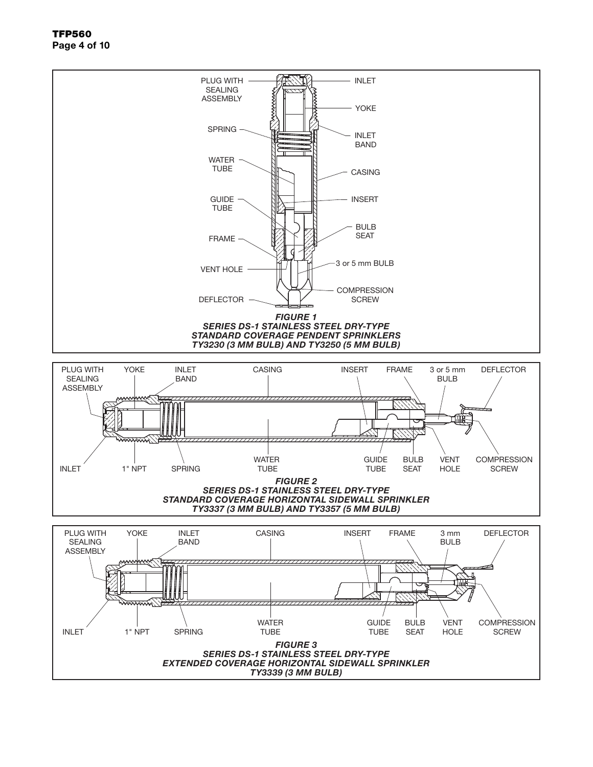TFP560 Page 4 of 10

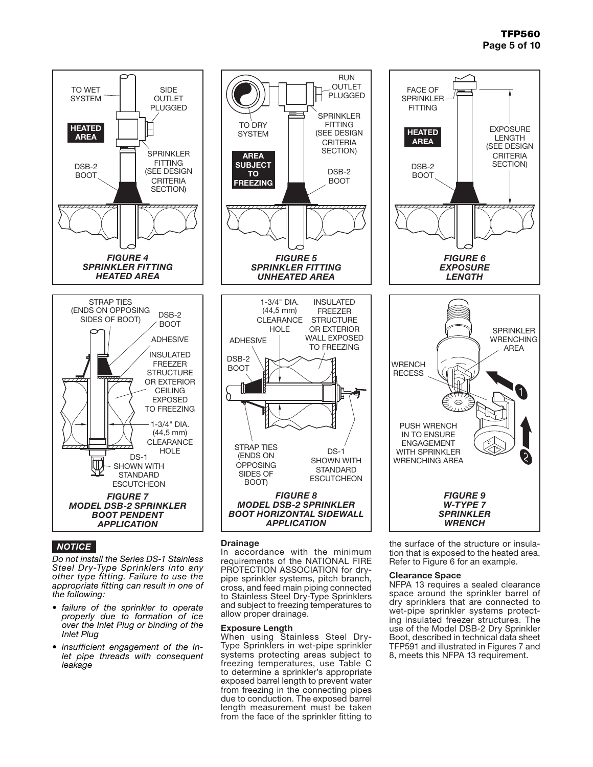### TFP560 Page 5 of 10



### *NOTICE*

*Do not install the Series DS-1 Stainless Steel Dry-Type Sprinklers into any other type fitting. Failure to use the appropriate fitting can result in one of the following:*

- *• failure of the sprinkler to operate properly due to formation of ice over the Inlet Plug or binding of the Inlet Plug*
- *• insufficient engagement of the Inlet pipe threads with consequent leakage*



RUN

### **Drainage**

In accordance with the minimum requirements of the NATIONAL FIRE PROTECTION ASSOCIATION for drypipe sprinkler systems, pitch branch, cross, and feed main piping connected to Stainless Steel Dry-Type Sprinklers and subject to freezing temperatures to allow proper drainage.

### Exposure Length

When using Stainless Steel Dry-Type Sprinklers in wet-pipe sprinkler systems protecting areas subject to freezing temperatures, use Table C to determine a sprinkler's appropriate exposed barrel length to prevent water from freezing in the connecting pipes due to conduction. The exposed barrel length measurement must be taken from the face of the sprinkler fitting to



the surface of the structure or insulation that is exposed to the heated area. Refer to Figure 6 for an example.

### Clearance Space

NFPA 13 requires a sealed clearance space around the sprinkler barrel of dry sprinklers that are connected to wet-pipe sprinkler systems protecting insulated freezer structures. The use of the Model DSB-2 Dry Sprinkler Boot, described in technical data sheet TFP591 and illustrated in Figures 7 and 8, meets this NFPA 13 requirement.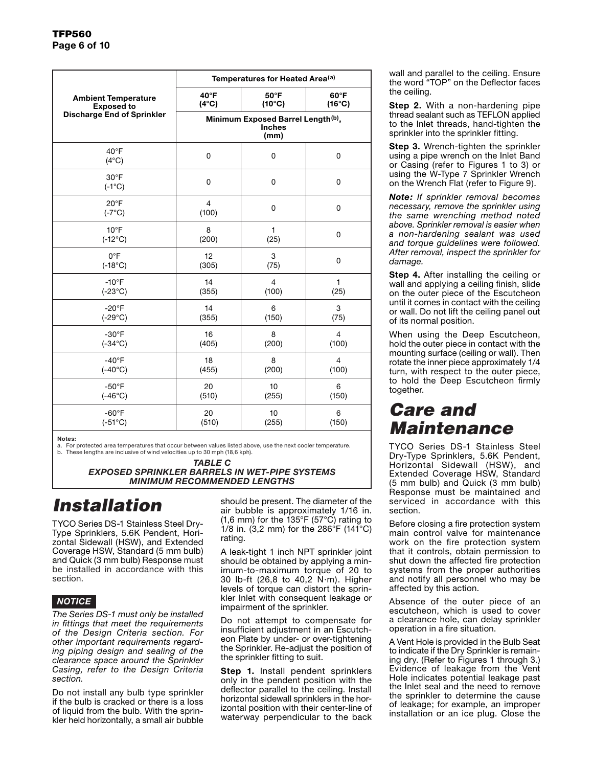|                                   | Temperatures for Heated Area <sup>(a)</sup>                |                 |                |  |  |  |
|-----------------------------------|------------------------------------------------------------|-----------------|----------------|--|--|--|
| <b>Ambient Temperature</b>        | 40°F                                                       | 60°F            |                |  |  |  |
| <b>Exposed to</b>                 | $(4^{\circ}C)$                                             | $(16^{\circ}C)$ |                |  |  |  |
| <b>Discharge End of Sprinkler</b> | Minimum Exposed Barrel Length(b),<br><b>Inches</b><br>(mm) |                 |                |  |  |  |
| $40^{\circ}$ F<br>$(4^{\circ}C)$  | $\mathbf 0$                                                | 0               | 0              |  |  |  |
| $30^{\circ}$ F<br>$(-1^{\circ}C)$ | $\mathbf 0$                                                | 0               | 0              |  |  |  |
| $20^{\circ}$ F<br>$(-7^{\circ}C)$ | $\overline{4}$<br>(100)                                    | 0               | 0              |  |  |  |
| $10^{\circ}$ F                    | 8                                                          | $\mathbf{1}$    | 0              |  |  |  |
| $(-12^{\circ}C)$                  | (200)                                                      | (25)            |                |  |  |  |
| $0^{\circ}F$                      | 12                                                         | 3               | 0              |  |  |  |
| $(-18^{\circ}C)$                  | (305)                                                      | (75)            |                |  |  |  |
| $-10^{\circ}$ F                   | 14                                                         | $\overline{4}$  | $\mathbf{1}$   |  |  |  |
| $(-23^{\circ}C)$                  | (355)                                                      | (100)           | (25)           |  |  |  |
| $-20^{\circ}F$                    | 14                                                         | 6               | 3              |  |  |  |
| $(-29^{\circ}C)$                  | (355)                                                      | (150)           | (75)           |  |  |  |
| $-30^{\circ}$ F                   | 16                                                         | 8               | $\overline{4}$ |  |  |  |
| $(-34^{\circ}C)$                  | (405)                                                      | (200)           | (100)          |  |  |  |
| $-40^{\circ}F$                    | 18                                                         | 8               | $\overline{4}$ |  |  |  |
| $(-40^{\circ}C)$                  | (455)                                                      | (200)           | (100)          |  |  |  |
| $-50^{\circ}$ F                   | 20                                                         | 10              | 6              |  |  |  |
| $(-46^{\circ}C)$                  | (510)                                                      | (255)           | (150)          |  |  |  |
| $-60^{\circ}F$                    | 20                                                         | 10              | 6              |  |  |  |
| $(-51^{\circ}C)$                  | (510)                                                      | (255)           | (150)          |  |  |  |

Notes:

a. For protected area temperatures that occur between values listed above, use the next cooler temperature. b. These lengths are inclusive of wind velocities up to 30 mph (18,6 kph).

*TABLE C*

*EXPOSED SPRINKLER BARRELS IN WET-PIPE SYSTEMS MINIMUM RECOMMENDED LENGTHS*

# *Installation*

TYCO Series DS-1 Stainless Steel Dry-Type Sprinklers, 5.6K Pendent, Horizontal Sidewall (HSW), and Extended Coverage HSW, Standard (5 mm bulb) and Quick (3 mm bulb) Response must be installed in accordance with this section.

### *NOTICE*

*The Series DS-1 must only be installed in fittings that meet the requirements of the Design Criteria section. For other important requirements regarding piping design and sealing of the clearance space around the Sprinkler Casing, refer to the Design Criteria section.*

Do not install any bulb type sprinkler if the bulb is cracked or there is a loss of liquid from the bulb. With the sprinkler held horizontally, a small air bubble

should be present. The diameter of the air bubble is approximately 1/16 in. (1,6 mm) for the 135°F (57°C) rating to 1/8 in. (3,2 mm) for the 286 $\mathrm{°F}$  (141 $\mathrm{°C}$ ) rating.

A leak-tight 1 inch NPT sprinkler joint should be obtained by applying a minimum-to-maximum torque of 20 to 30 lb-ft (26,8 to 40,2 N·m). Higher levels of torque can distort the sprinkler Inlet with consequent leakage or impairment of the sprinkler.

Do not attempt to compensate for insufficient adjustment in an Escutcheon Plate by under- or over-tightening the Sprinkler. Re-adjust the position of the sprinkler fitting to suit.

Step 1. Install pendent sprinklers only in the pendent position with the deflector parallel to the ceiling. Install horizontal sidewall sprinklers in the horizontal position with their center-line of waterway perpendicular to the back wall and parallel to the ceiling. Ensure the word "TOP" on the Deflector faces the ceiling.

Step 2. With a non-hardening pipe thread sealant such as TEFLON applied to the Inlet threads, hand-tighten the sprinkler into the sprinkler fitting.

Step 3. Wrench-tighten the sprinkler using a pipe wrench on the Inlet Band or Casing (refer to Figures 1 to 3) or using the W-Type 7 Sprinkler Wrench on the Wrench Flat (refer to Figure 9).

*Note: If sprinkler removal becomes necessary, remove the sprinkler using the same wrenching method noted above. Sprinkler removal is easier when a non-hardening sealant was used and torque guidelines were followed. After removal, inspect the sprinkler for damage.*

Step 4. After installing the ceiling or wall and applying a ceiling finish, slide on the outer piece of the Escutcheon until it comes in contact with the ceiling or wall. Do not lift the ceiling panel out of its normal position.

When using the Deep Escutcheon, hold the outer piece in contact with the mounting surface (ceiling or wall). Then rotate the inner piece approximately 1/4 turn, with respect to the outer piece, to hold the Deep Escutcheon firmly together.

# *Care and Maintenance*

TYCO Series DS-1 Stainless Steel Dry-Type Sprinklers, 5.6K Pendent, Horizontal Sidewall (HSW), and Extended Coverage HSW, Standard (5 mm bulb) and Quick (3 mm bulb) Response must be maintained and serviced in accordance with this section.

Before closing a fire protection system main control valve for maintenance work on the fire protection system that it controls, obtain permission to shut down the affected fire protection systems from the proper authorities and notify all personnel who may be affected by this action.

Absence of the outer piece of an escutcheon, which is used to cover a clearance hole, can delay sprinkler operation in a fire situation.

A Vent Hole is provided in the Bulb Seat to indicate if the Dry Sprinkler is remaining dry. (Refer to Figures 1 through 3.) Evidence of leakage from the Vent Hole indicates potential leakage past the Inlet seal and the need to remove the sprinkler to determine the cause of leakage; for example, an improper installation or an ice plug. Close the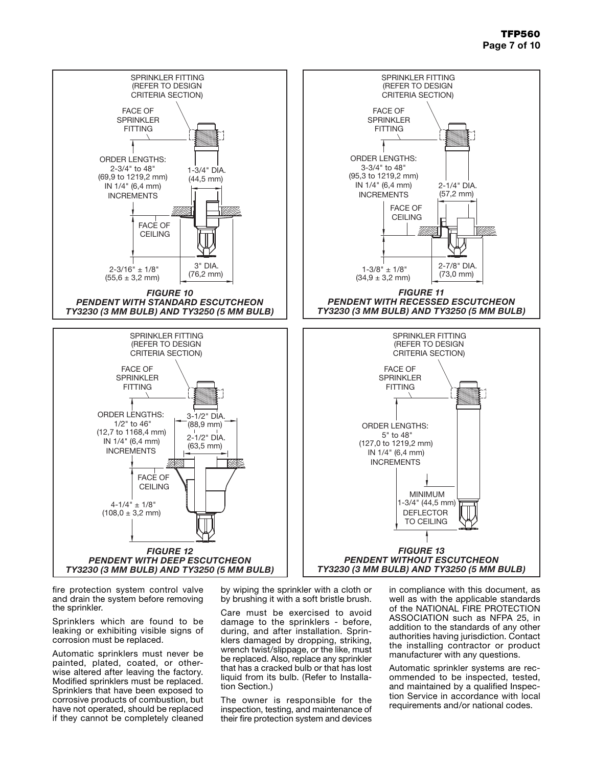

fire protection system control valve and drain the system before removing the sprinkler.

Sprinklers which are found to be leaking or exhibiting visible signs of corrosion must be replaced.

Automatic sprinklers must never be painted, plated, coated, or otherwise altered after leaving the factory. Modified sprinklers must be replaced. Sprinklers that have been exposed to corrosive products of combustion, but have not operated, should be replaced if they cannot be completely cleaned

by wiping the sprinkler with a cloth or by brushing it with a soft bristle brush.

Care must be exercised to avoid damage to the sprinklers - before, during, and after installation. Sprinklers damaged by dropping, striking, wrench twist/slippage, or the like, must be replaced. Also, replace any sprinkler that has a cracked bulb or that has lost liquid from its bulb. (Refer to Installation Section.)

The owner is responsible for the inspection, testing, and maintenance of their fire protection system and devices in compliance with this document, as well as with the applicable standards of the NATIONAL FIRE PROTECTION ASSOCIATION such as NFPA 25, in addition to the standards of any other authorities having jurisdiction. Contact the installing contractor or product manufacturer with any questions.

Automatic sprinkler systems are recommended to be inspected, tested, and maintained by a qualified Inspection Service in accordance with local requirements and/or national codes.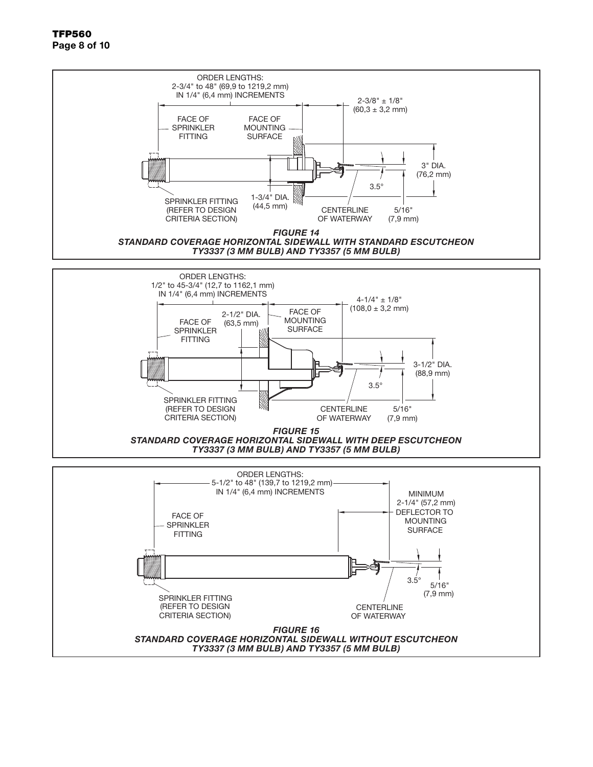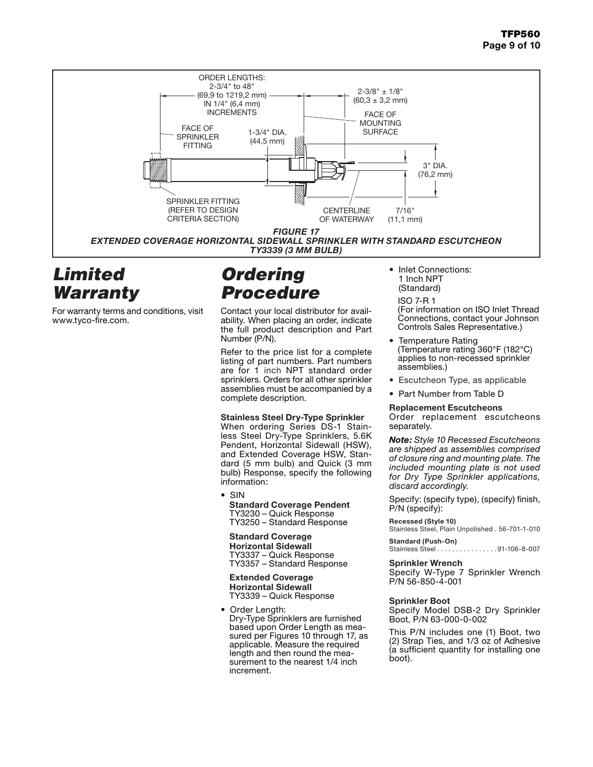

### *Limited Warranty*

For warranty terms and conditions, visit www.tyco-fire.com.

# *Ordering Procedure*

Contact your local distributor for availability. When placing an order, indicate the full product description and Part Number (P/N).

Refer to the price list for a complete listing of part numbers. Part numbers are for 1 inch NPT standard order sprinklers. Orders for all other sprinkler assemblies must be accompanied by a complete description.

### Stainless Steel Dry-Type Sprinkler

When ordering Series DS-1 Stainless Steel Dry-Type Sprinklers, 5.6K Pendent, Horizontal Sidewall (HSW), and Extended Coverage HSW, Standard (5 mm bulb) and Quick (3 mm bulb) Response, specify the following information:

• SIN Standard Coverage Pendent TY3230 – Quick Response TY3250 – Standard Response

Standard Coverage Horizontal Sidewall TY3337 – Quick Response TY3357 - Standard Response

Extended Coverage Horizontal Sidewall TY3339 – Quick Response

• Order Length: Dry-Type Sprinklers are furnished based upon Order Length as measured per Figures 10 through 17, as applicable. Measure the required length and then round the measurement to the nearest 1/4 inch increment.

- 1 Inch NPT (Standard)
	- ISO 7-R 1

(For information on ISO Inlet Thread Connections, contact your Johnson Controls Sales Representative.)

- Temperature Rating (Temperature rating 360°F (182°C) applies to non-recessed sprinkler assemblies.)
- Escutcheon Type, as applicable
- Part Number from Table D

### Replacement Escutcheons

Order replacement escutcheons separately.

*Note: Style 10 Recessed Escutcheons are shipped as assemblies comprised of closure ring and mounting plate. The included mounting plate is not used for Dry Type Sprinkler applications, discard accordingly.*

Specify: (specify type), (specify) finish, P/N (specify):

#### **Recessed (Style 10)**

Stainless Steel, Plain Unpolished . 56-701-1-010

**Standard (Push-On)**  $\ldots \ldots \ldots$ 91-106-8-007

### Sprinkler Wrench

Specify W-Type 7 Sprinkler Wrench P/N 56-850-4-001

### Sprinkler Boot

Specify Model DSB-2 Dry Sprinkler Boot, P/N 63-000-0-002

This P/N includes one (1) Boot, two (2) Strap Ties, and 1/3 oz of Adhesive (a sufficient quantity for installing one boot).